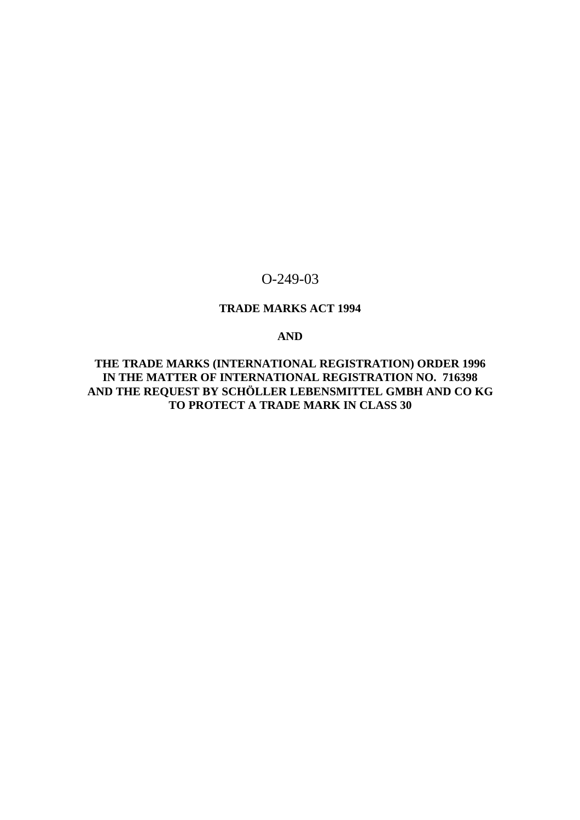# O-249-03

# **TRADE MARKS ACT 1994**

# **AND**

**THE TRADE MARKS (INTERNATIONAL REGISTRATION) ORDER 1996 IN THE MATTER OF INTERNATIONAL REGISTRATION NO. 716398 AND THE REQUEST BY SCHÖLLER LEBENSMITTEL GMBH AND CO KG TO PROTECT A TRADE MARK IN CLASS 30**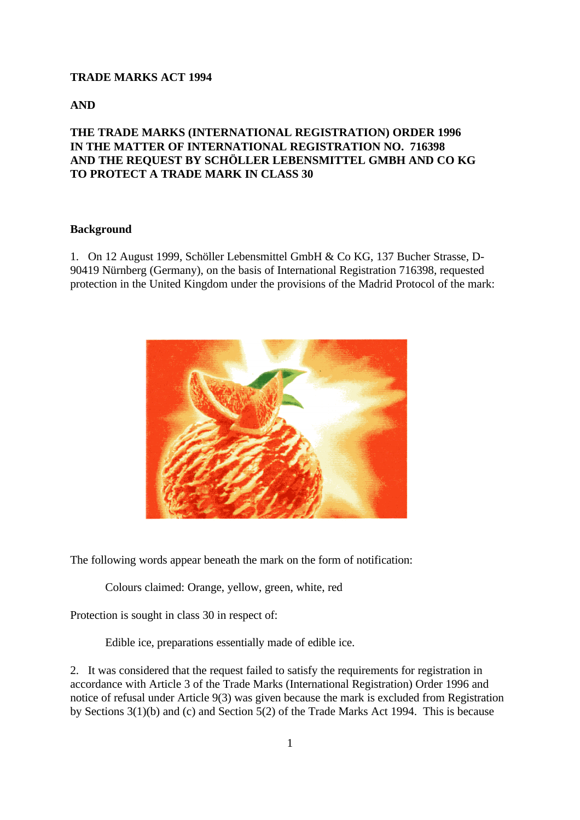#### **TRADE MARKS ACT 1994**

**AND**

## **THE TRADE MARKS (INTERNATIONAL REGISTRATION) ORDER 1996 IN THE MATTER OF INTERNATIONAL REGISTRATION NO. 716398 AND THE REQUEST BY SCHÖLLER LEBENSMITTEL GMBH AND CO KG TO PROTECT A TRADE MARK IN CLASS 30**

#### **Background**

1. On 12 August 1999, Schöller Lebensmittel GmbH & Co KG, 137 Bucher Strasse, D-90419 Nürnberg (Germany), on the basis of International Registration 716398, requested protection in the United Kingdom under the provisions of the Madrid Protocol of the mark:



The following words appear beneath the mark on the form of notification:

Colours claimed: Orange, yellow, green, white, red

Protection is sought in class 30 in respect of:

Edible ice, preparations essentially made of edible ice.

2. It was considered that the request failed to satisfy the requirements for registration in accordance with Article 3 of the Trade Marks (International Registration) Order 1996 and notice of refusal under Article 9(3) was given because the mark is excluded from Registration by Sections 3(1)(b) and (c) and Section 5(2) of the Trade Marks Act 1994. This is because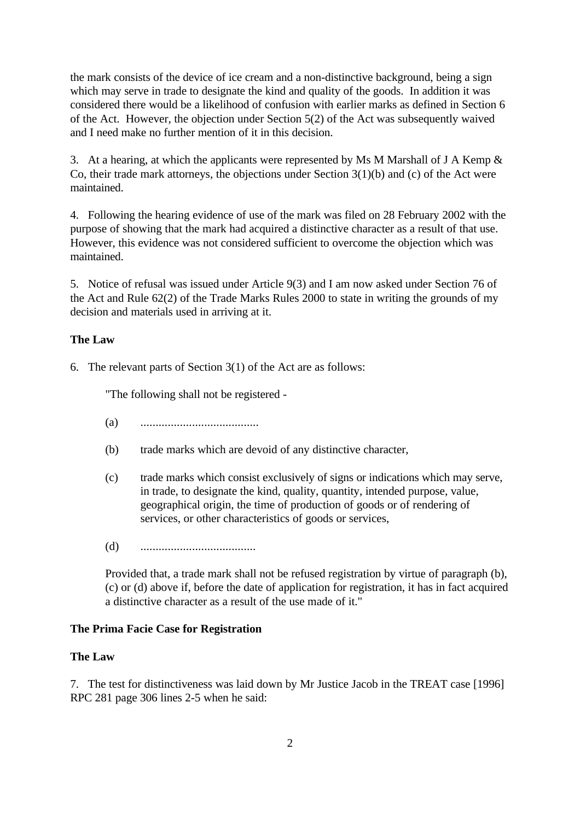the mark consists of the device of ice cream and a non-distinctive background, being a sign which may serve in trade to designate the kind and quality of the goods. In addition it was considered there would be a likelihood of confusion with earlier marks as defined in Section 6 of the Act. However, the objection under Section 5(2) of the Act was subsequently waived and I need make no further mention of it in this decision.

3. At a hearing, at which the applicants were represented by Ms M Marshall of J A Kemp & Co, their trade mark attorneys, the objections under Section 3(1)(b) and (c) of the Act were maintained.

4. Following the hearing evidence of use of the mark was filed on 28 February 2002 with the purpose of showing that the mark had acquired a distinctive character as a result of that use. However, this evidence was not considered sufficient to overcome the objection which was maintained.

5. Notice of refusal was issued under Article 9(3) and I am now asked under Section 76 of the Act and Rule 62(2) of the Trade Marks Rules 2000 to state in writing the grounds of my decision and materials used in arriving at it.

#### **The Law**

6. The relevant parts of Section 3(1) of the Act are as follows:

"The following shall not be registered -

- (a) .......................................
- (b) trade marks which are devoid of any distinctive character,
- (c) trade marks which consist exclusively of signs or indications which may serve, in trade, to designate the kind, quality, quantity, intended purpose, value, geographical origin, the time of production of goods or of rendering of services, or other characteristics of goods or services,
- (d) ......................................

Provided that, a trade mark shall not be refused registration by virtue of paragraph (b), (c) or (d) above if, before the date of application for registration, it has in fact acquired a distinctive character as a result of the use made of it."

#### **The Prima Facie Case for Registration**

#### **The Law**

7. The test for distinctiveness was laid down by Mr Justice Jacob in the TREAT case [1996] RPC 281 page 306 lines 2-5 when he said: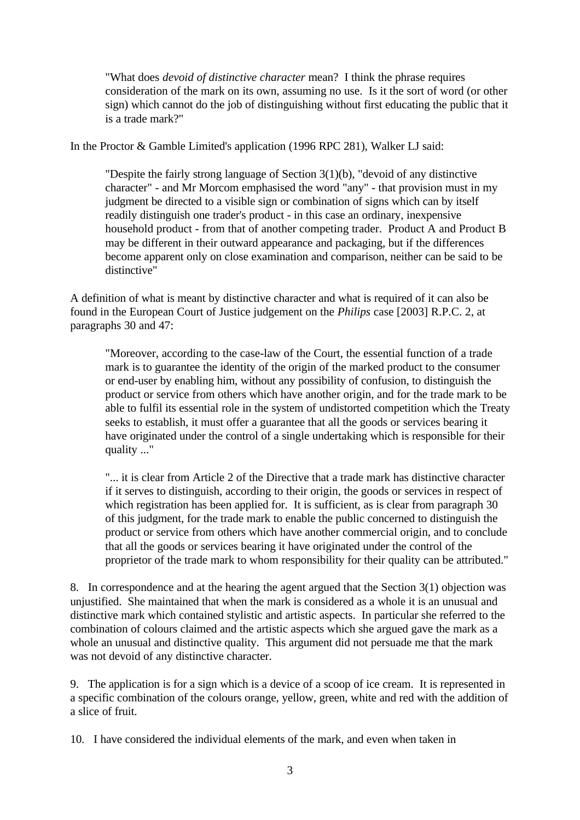"What does *devoid of distinctive character* mean? I think the phrase requires consideration of the mark on its own, assuming no use. Is it the sort of word (or other sign) which cannot do the job of distinguishing without first educating the public that it is a trade mark?"

In the Proctor & Gamble Limited's application (1996 RPC 281), Walker LJ said:

"Despite the fairly strong language of Section 3(1)(b), "devoid of any distinctive character" - and Mr Morcom emphasised the word "any" - that provision must in my judgment be directed to a visible sign or combination of signs which can by itself readily distinguish one trader's product - in this case an ordinary, inexpensive household product - from that of another competing trader. Product A and Product B may be different in their outward appearance and packaging, but if the differences become apparent only on close examination and comparison, neither can be said to be distinctive"

A definition of what is meant by distinctive character and what is required of it can also be found in the European Court of Justice judgement on the *Philips* case [2003] R.P.C. 2, at paragraphs 30 and 47:

"Moreover, according to the case-law of the Court, the essential function of a trade mark is to guarantee the identity of the origin of the marked product to the consumer or end-user by enabling him, without any possibility of confusion, to distinguish the product or service from others which have another origin, and for the trade mark to be able to fulfil its essential role in the system of undistorted competition which the Treaty seeks to establish, it must offer a guarantee that all the goods or services bearing it have originated under the control of a single undertaking which is responsible for their quality ..."

"... it is clear from Article 2 of the Directive that a trade mark has distinctive character if it serves to distinguish, according to their origin, the goods or services in respect of which registration has been applied for. It is sufficient, as is clear from paragraph 30 of this judgment, for the trade mark to enable the public concerned to distinguish the product or service from others which have another commercial origin, and to conclude that all the goods or services bearing it have originated under the control of the proprietor of the trade mark to whom responsibility for their quality can be attributed."

8. In correspondence and at the hearing the agent argued that the Section 3(1) objection was unjustified. She maintained that when the mark is considered as a whole it is an unusual and distinctive mark which contained stylistic and artistic aspects. In particular she referred to the combination of colours claimed and the artistic aspects which she argued gave the mark as a whole an unusual and distinctive quality. This argument did not persuade me that the mark was not devoid of any distinctive character.

9. The application is for a sign which is a device of a scoop of ice cream. It is represented in a specific combination of the colours orange, yellow, green, white and red with the addition of a slice of fruit.

10. I have considered the individual elements of the mark, and even when taken in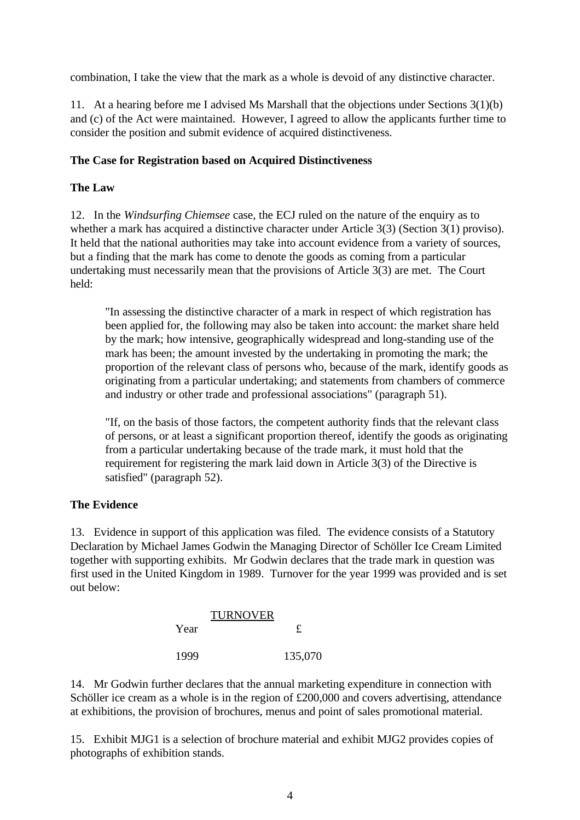combination, I take the view that the mark as a whole is devoid of any distinctive character.

11. At a hearing before me I advised Ms Marshall that the objections under Sections 3(1)(b) and (c) of the Act were maintained. However, I agreed to allow the applicants further time to consider the position and submit evidence of acquired distinctiveness.

# **The Case for Registration based on Acquired Distinctiveness**

## **The Law**

12. In the *Windsurfing Chiemsee* case, the ECJ ruled on the nature of the enquiry as to whether a mark has acquired a distinctive character under Article 3(3) (Section 3(1) proviso). It held that the national authorities may take into account evidence from a variety of sources, but a finding that the mark has come to denote the goods as coming from a particular undertaking must necessarily mean that the provisions of Article 3(3) are met. The Court held:

"In assessing the distinctive character of a mark in respect of which registration has been applied for, the following may also be taken into account: the market share held by the mark; how intensive, geographically widespread and long-standing use of the mark has been; the amount invested by the undertaking in promoting the mark; the proportion of the relevant class of persons who, because of the mark, identify goods as originating from a particular undertaking; and statements from chambers of commerce and industry or other trade and professional associations" (paragraph 51).

"If, on the basis of those factors, the competent authority finds that the relevant class of persons, or at least a significant proportion thereof, identify the goods as originating from a particular undertaking because of the trade mark, it must hold that the requirement for registering the mark laid down in Article 3(3) of the Directive is satisfied" (paragraph 52).

# **The Evidence**

13. Evidence in support of this application was filed. The evidence consists of a Statutory Declaration by Michael James Godwin the Managing Director of Schöller Ice Cream Limited together with supporting exhibits. Mr Godwin declares that the trade mark in question was first used in the United Kingdom in 1989. Turnover for the year 1999 was provided and is set out below:

|      | <b>TURNOVER</b> |              |
|------|-----------------|--------------|
| Year |                 | $\mathbf{f}$ |
| 1999 |                 | 135,070      |

14. Mr Godwin further declares that the annual marketing expenditure in connection with Schöller ice cream as a whole is in the region of £200,000 and covers advertising, attendance at exhibitions, the provision of brochures, menus and point of sales promotional material.

15. Exhibit MJG1 is a selection of brochure material and exhibit MJG2 provides copies of photographs of exhibition stands.